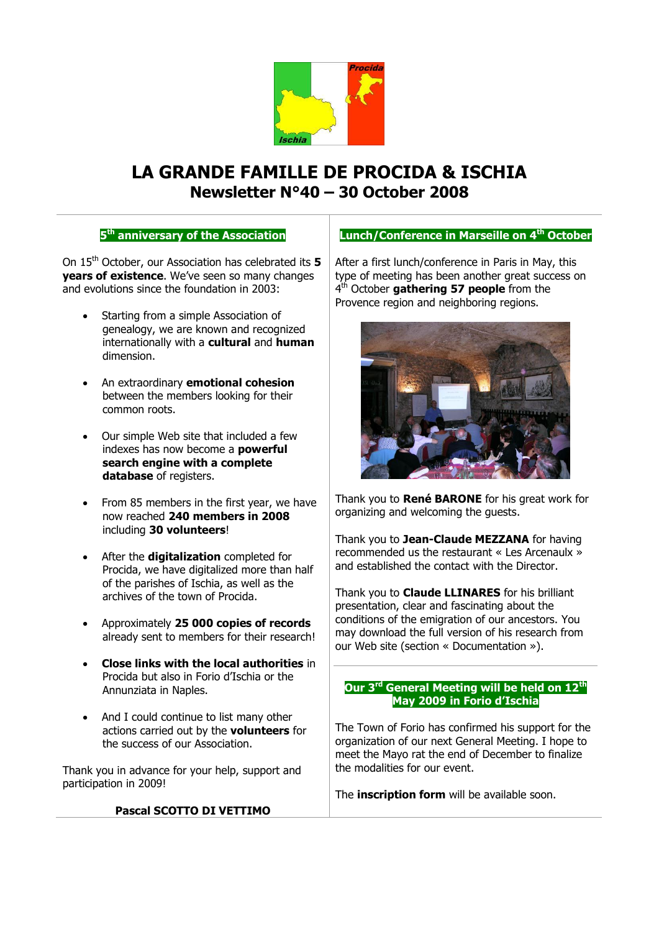

# **LA GRANDE FAMILLE DE PROCIDA & ISCHIA Newsletter N°40 – 30 October 2008**

# **5 th anniversary of the Association**

On 15th October, our Association has celebrated its **5 years of existence**. We've seen so many changes and evolutions since the foundation in 2003:

- Starting from a simple Association of genealogy, we are known and recognized internationally with a **cultural** and **human** dimension.
- An extraordinary **emotional cohesion** between the members looking for their common roots.
- Our simple Web site that included a few indexes has now become a **powerful search engine with a complete database** of registers.
- From 85 members in the first year, we have now reached **240 members in 2008** including **30 volunteers**!
- After the **digitalization** completed for Procida, we have digitalized more than half of the parishes of Ischia, as well as the archives of the town of Procida.
- Approximately **25 000 copies of records**  already sent to members for their research!
- **Close links with the local authorities** in Procida but also in Forio d'Ischia or the Annunziata in Naples.
- And I could continue to list many other actions carried out by the **volunteers** for the success of our Association.

Thank you in advance for your help, support and participation in 2009!

### **Pascal SCOTTO DI VETTIMO**

### **Lunch/Conference in Marseille on 4 th October**

After a first lunch/conference in Paris in May, this type of meeting has been another great success on 4 th October **gathering 57 people** from the Provence region and neighboring regions.



Thank you to **René BARONE** for his great work for organizing and welcoming the guests.

Thank you to **Jean-Claude MEZZANA** for having recommended us the restaurant « Les Arcenaulx » and established the contact with the Director.

Thank you to **Claude LLINARES** for his brilliant presentation, clear and fascinating about the conditions of the emigration of our ancestors. You may download the full version of his research from our Web site (section « Documentation »).

### **Our 3 rd General Meeting will be held on 12th May 2009 in Forio d'Ischia**

The Town of Forio has confirmed his support for the organization of our next General Meeting. I hope to meet the Mayo rat the end of December to finalize the modalities for our event.

The **inscription form** will be available soon.